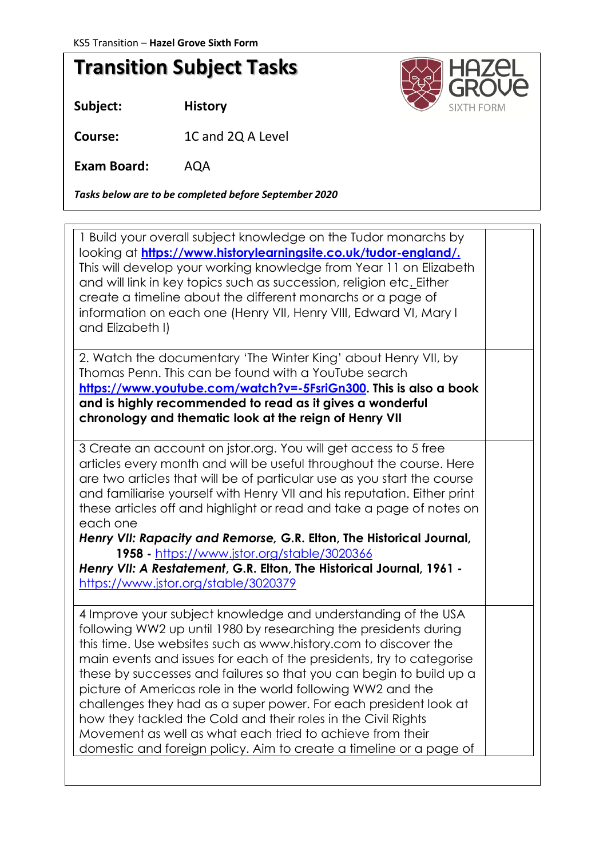## **Transition Subject Tasks**

**Subject: History**

looks like in **Course:** 1C and 2Q A Level

**Exam Board:** AQA

*Tasks below are to be completed before September 2020*